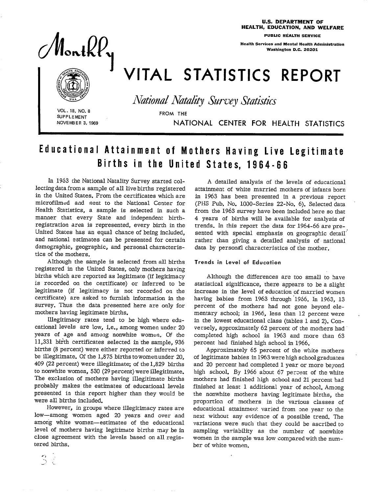U.S. DEPARTMENT OF HEALTH, EDUCATION, AND WELFARE

PUBLIC HEALTH SERVICE

Health Services and MentaI Health Administration Washington D.C. 20201





VITAL STATISTICS REPORT

*National Natality Survey Statistics* 

**I VOL. 18, NO. 8**<br>
SUPPLEMENT<br>
NOVEMBER 3, 1969<br> **I CONTREMENT CONTRETE:** 

**NOVEMBER 3, 1889** NATIONAL CENTER FOR HEALTH STATISTICS

# Educational Attainment of Mothers Having Live Legitimate Births in the United States, 1964-66

In 1963 che National Natality Survey started collecting data from a sample of all live births registered in the United States. From the certificates which are microfilmed and sent to the National Center for HeaIth Statistics, a sample is selected in such a manner that every State and independent birthregistration area is represented, every birth in the United States has an equal chance of being included, and national estimates can be presented for certain demographic, geographic, and personal characteristics of the mothers.

Although the sample is selected from all births registered in the United States, only mothers having births which are reported as legitimate (if legitimacy is recorded on the certificate) or inferred to be legitimate (if legitimacy is not recorded on the certificate) are asked to furnish information in the survey. Thus the data presented here are only for mothers having legitimate births.

Illegitimacy rates tend to be high where educational levels are low, i.e., among women under 20 years of age and among nonwhite women. Of the 11,331 birth certificates selected in the sample, 936 births (8 percent) were either reported or inferred to be illegitimate. Of the  $1,875$  births to women under  $20$ , 409 (22 percent) were illegitimate; of the 1,829 birtha to nonwhite women, 530 (29 percent) were illegitimate. The exclusion of mothers having illegitimate births probably makes the estimates of educational levels presented in this report higher than they would be were all births included.

However, in groups where illegitimacy rates are low—among women aged 20 years and over and among white women— estimates of the educational level of mothers having legitimate births may be in close agreement with the levels based on all registered births.

A detailed analysis of the levels of educational attainment of white married mothers of infants born in 1963 has been presented in a previous report (PHS Pub. No. 1000-Series 22-No. 6). Selected data from the 1963 survey have been included here so that 4 years of births will be available for analysis of trenda. In this report the data for 1964-56 are presented with special emphasis on geographic detail<sup>-</sup> rather than giving a detailed analysis of national data by personal characteristics of the mother.

#### Trends in Level of Education

Although the differences are too small to have statistical significance, there appears to be a slight increase in the level of education of married women having babies from 1963 through '1955. In 1963, 13 percent of the mothers had not gone beyond elementary school; in 1966, less than 12 percent were in the lowest educational class (tables 1 and 2). Conversely, approximately 62 percent of the mothers had completed high school in 1963 and more than 63 percent had finished high school in 1966.

Approximately 65 percent of the white mothers of legitimate babies in 1963 were high school graduates and 20 percent had completed 1 year or more beyond high school. By 1966 about 67 percent of the white mothers had finished high school and 21 percent had finished at least 1 additional year of school. Among the nonwhite mothers having legitimate births, the propartioa of mothers in the various classes of educational attainment varied from one year to the next without any evidence of a possible trend. The variations were such that they could be ascribed to sampling variability as the number of nonwhite women in the sample was low compared with the number of white women.

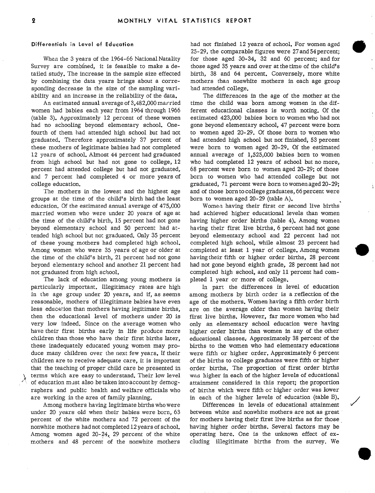#### **Differentials in Level of Education**

When the 3 years of the 1964-66 National Natality Survey are combined, it is feasible to make a detailed study. The increase in the sample size effected by combining the data years brings about a corresponding decrease in the size of the sampling variability and an increase in the reliability of the data.

An estimated annual average of 3,482,000 married women had babies each year from 1964 through 1966 (table 3). Approximately 12 percent of these women had no schooling beyond elementary school. Onefourth of them had attended high school but had not graduated. Therefore approximately 37 percent of these mothers of legitimate babies had not completed 12 years of school. Almost 44 percent had graduated from high school but had not gone to college, 12 percent had attended college but had not graduated, and 7 percent had completed 4 or more years of college education.

The mothers in the lowest and the highest age groups at the time of the child's birth had the least education. Of the estimated annual average of 475,000 married women who were under 20 years of age at the time of the child's birth, 15 percent had not gone beyond elementary school and 50 percent had attended high school but not graduated. Only 35 percent of these young mothers had completed high school. Among women who were 35 years of age or older at the time of the child's birth, 21 percent had not gone beyond elementary school and another 21 percent had not graduated from high school.

The lack of education among young mothers is particularly important. Illegitimacy rates are high in the age group under 20 years, and if, as seems reasonable, mothers of illegitimate babies have even less education than mothers having legitimate births, then the educational level of mothers under 20 is very low indeed. Since on the average women who have their first births early in life produce more children than those who have their first births later, these inadequately educated young women may produce many children over the next few years. If their children are to receive adequate care, it is important that the teaching of proper child care be presented in terms which are easy to understand. Their low level of education mdst also be taken into account by demographers and public health and welfare officials who are working in the area of family planning.

Among mothers having legitimate births who were under 20 years old when their babies were born, 63 percent of the white mothers and 72 percent of the nonwhite mothers had not completed 12 years of school. Among women aged 20-24, 29 percent of the white mothers and 48 percent of the nonwhite mothers

had not finished 12 years of school. For women aged 25-29, the comparable figures were 27 and 54 percent; \* for those aged 30-34, 32 and 60 percent; and for those aged 35 years and over at the time of the child's birth, 38 and 64 percent. Conversely, more white mothers than nonwhite mothers in each age group had attended college.

The differences in the age of the mother at the time the child was born among women in the different educational classes is worth noting. Of the estimated 423,000 babies born to women who had not gone beyond elementary school, 47 percent were born to women aged 20-29. Of those born to women who had attended high school but not finished, 53 percent were born to women aged 20-29. Of the estimated annual average of 1,525,000 babies born to women who had completed 12 yeara of school but no more, 68 percent were born to women aged 20-29; of those born to women who had attended college but not graduated, 71 percent were born to women aged 20-29; and of those born to college graduates, 66 percent were born to women aged 20-29 (table A).

Womea having their first or second live births had achieved higher educational levels than women having higher order births (table 4). Among women having their first live births, 6 percent had not gone beyond elementary school and 22 percent had not completed high school, while almost 23 percent had completed at least 1 year of college. Among women<br>having their fifth or higher order births, 28 percent had not gone beyond eighth grade, 28 percent had not completed high school, and only 11 percent had completed 1 year or more of college.

In part the differences in level of education among mothers by birth order is a reflection of the age of the mothers. Women having a fifth order birth are on the average older than women having their first live births. However, far more women who had only an elementary school education were having higher order births than women in any of the other educational classes; Approximately 38 percent of the births to the women who had elementary educations were fifth or higher order. Approximately 6 percent of the births to college graduates were fifth or higher order births. The proportion of first order births was higher in each of the higher levels of educational attainment considered in this report; the proportion of births which were fifth or higher order was lower in each of the higher levels of education (table B).

Differences in levels of educational attainment between white and nonwhite mothers are not aa great for mothers having their first live births as for those having higher order births. Several factors may be operating here. One ia the unknown effect of excluding illegitimate births from the survey, We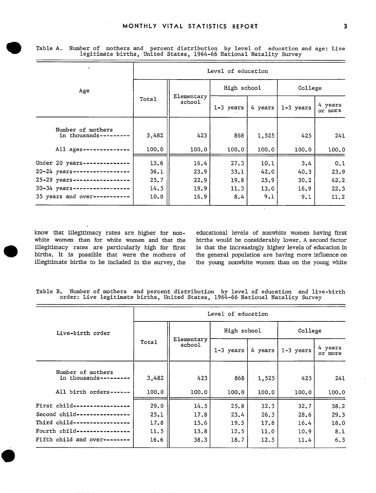|                                    | Level of education |                      |              |              |             |                    |  |  |  |
|------------------------------------|--------------------|----------------------|--------------|--------------|-------------|--------------------|--|--|--|
| Age                                |                    |                      | High school  |              | College     |                    |  |  |  |
|                                    | Total              | Elementary<br>school | 1-3 years    | 4 years      | $1-3$ years | 4 years<br>or more |  |  |  |
| Number of mothers<br>in thousands- | 3,482              | 423                  | 868          | 1,525        | 425         | 241                |  |  |  |
| All ages-                          | 100.0              | 100.0                | 100.0        | 100.0        | 100.0       | 100.0              |  |  |  |
| Under 20 years-<br>20-24 years--   | 13.6<br>36.1       | 16.4<br>23.9         | 27.3<br>33.1 | 10.1<br>42.0 | 3.4<br>40.3 | 0.1<br>23.9        |  |  |  |
| 25-29 years-                       | 25.7               | 22.9                 | 19.8         | 25.9         | 30.2        | 42.2               |  |  |  |
| 30-34 years-<br>35 years and over- | 14.5<br>10.0       | 19.9<br>16.9         | 11.3<br>8.4  | 13.0<br>9.1  | 16.9<br>9.1 | 22.5<br>11.2       |  |  |  |

Table A. Number of mothers and percent distribution by level of education and age: Live<br>legitimate births, United States, 1964-66 National Natality Survey

know that illegitimacy rates are higher for nonwhite women than for white women and that the births. It is possible that were the mothers of illegitimate births to be included in the survey, the

educational levels of nonwhite women having first births would be considerably lower. A second factor illegitimacy rates are particularly high for first is that the increasingly higher levels of education in the general population are having more influence on the young nonwhite women than on the young white

Table B. Number of mothers and percent distribution by level of education and live-birth order: Live legitimate births, United States, 1964-66 National Natality Survey

|                                    | Level of education |                      |             |         |           |                    |  |  |  |  |
|------------------------------------|--------------------|----------------------|-------------|---------|-----------|--------------------|--|--|--|--|
| Live-birth order                   |                    |                      | High school |         | College   |                    |  |  |  |  |
|                                    | Total              | Elementary<br>school | 1-3 years   | 4 years | 1-3 years | 4 years<br>or more |  |  |  |  |
| Number of mothers<br>in thousands- | 3,482              | 423                  | 868         | 1,525   | 425       | 241                |  |  |  |  |
| All birth orders-                  | 100.0              | 100.0                | 100.0       | 100.0   | 100.0     | 100.0              |  |  |  |  |
| First child-                       | 29.0               | 14.5                 | 25.8        | 32,3    | 32.7      | 38.2               |  |  |  |  |
| Second child-                      | 25.1               | 17.8                 | 23.4        | 26.3    | 28.6      | 29.3               |  |  |  |  |
| Third child-                       | 17.8               | 15.6                 | 19.5        | 17.8    | 16.4      | 18.0               |  |  |  |  |
| Fourth child-                      | 11.5               | 13.8                 | 12.5        | 11.0    | 10.9      | 8.1                |  |  |  |  |
| Fifth child and over-----          | 16.6               | 38.3                 | 18.7        | 12.5    | 11.4      | 6.3                |  |  |  |  |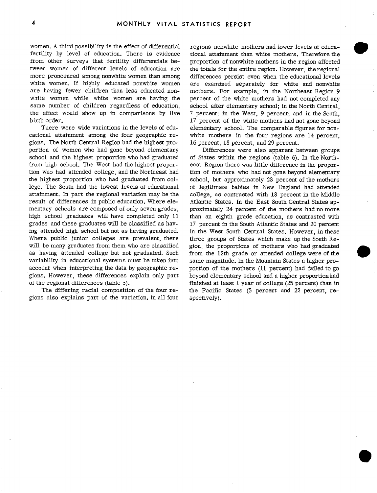women. A third possibility is the effect of differential fertility by level of education. There is evidence from other surveys that fertility differentials between women of different levels of education are more pronounced among nonwhite women than among white women. If highly educated nonwhite women are having fewer children than less educated nonwhite women while white women are having the same number of children regardless of education, the effect would show up in comparisons by live birth order.

There were wide variations in the levels of educational attainment among the four geographic regions. The North Central Region had the highest proportion of women who had gone beyond elementary school and the highest proportion who had graduated from high school. The West had the highest proportion who had attended college, and the Northeast had the highest proportion who had graduated from college. The South had the lowest levels of educational attainment. In part the regional variation may be the result of differences in public education. Where elementary schools are composed of only seven grades, high school graduates will have completed only 11 grades and these graduates will be classified as having attended high school but not as having graduated. Where public junior colleges are prevalent, there will be many graduates from them who are classified as having attended college but not graduated. Such variability in educational systems must be taken into account when interpreting the data by geographic regions. However, these differences explain only part of the regional differences (table 5).

The differing racial composition of the four regions also explains part of the variation. In all four regions nonwhite mothers had lower levels of educational attainment than white mothers. Therefore the proportion of nonwhite mothers in the region affected the totals for the entire region. However, the regional differences persist even when the educational levels are examined separately for white and nonwhite mothers. For example, in the Northeast Region 9 percent of the white mothers had not completed any school after elementary school; in the North Central, 7 percent; in the West, 9 percent; and in the South, 17 percent of the white mothers had not gone beyond elementary school. The comparable figures for nonwhite mothers in the four regions are 14 percent, 16 percent, 18 percent, and 29 percent.

Differences were also apparent between groups of States within the regions (table 6). In the Northeast Region there was little difference in the proportion of mothers who had not gone beyond elementary school, but approximately 23 percent of the mothers of legitimate babies in New England had attended college, as contrasted with 18 percent in the Middle Atlantic States. In the East South Central States approximately 24 percent of the mothers had no more than an eighth grade education, as contrasted with 17 percent in the South Atlantic States and 20 percent in the West South Central States. However, in these three groups of States which make up the South Region, the proportions of mothers who had graduated from the 12th grade or attended college were of the same magnitude. In the Mountain States a higher proportion of the mothers (11 percent) had failed to go beyond elementary school and a higher proportion had finished at least 1 year of college (25 percent) than in the Pacific States (5 percent and 22 percent, respectively).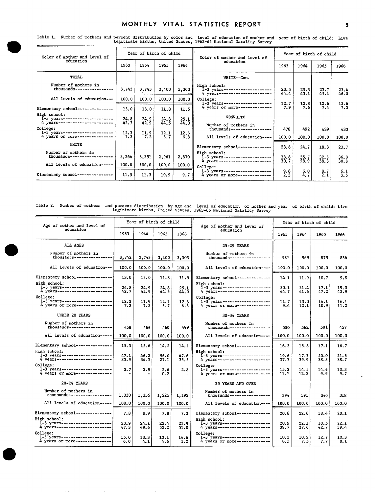#### MONTHLY VITAL STATISTICS REPORT 5

| Color of mother and level of                                                    | Year of birth of child |              | Color of mother and level of | Year of birth of child |                                                                               |              |              |              |              |
|---------------------------------------------------------------------------------|------------------------|--------------|------------------------------|------------------------|-------------------------------------------------------------------------------|--------------|--------------|--------------|--------------|
| education                                                                       | 1963                   | 1964         | 1965                         | 1966                   | education                                                                     | 1963         | 1964         | 1965         | 1966         |
| TOTAL                                                                           |                        |              |                              |                        | WHITE--Con.                                                                   |              |              |              |              |
| Number of mothers in<br>thousands------------                                   | 3,742                  | 3,743        | 3,400                        | 3,303                  | High school:<br>1-3 years---------------<br>4 years-----------------------    | 23.5<br>44.4 | 23.3<br>45.1 | 23.7<br>45.4 | 23.4<br>46.0 |
| All levels of education---                                                      | 100.0                  | 100.0        | 100.0                        | 100.0                  | College:                                                                      |              |              |              |              |
| Elementary school--------------                                                 | 13.0                   | 13.0         | 11.8                         | 11.5                   | 1-3 years---------------------<br>4 years or more--------------               | 12.7<br>7.9  | 12.8<br>7.6  | 12.6<br>7.4  | 13.6<br>7.3  |
| High school:<br>I-3 years-------------------<br>4 years------------------------ | 24.8<br>42.7           | 24.9<br>42.9 | 24.8<br>44.5                 | 25.1<br>44.0           | <b>NONWHITE</b>                                                               |              |              |              |              |
| College:<br>$1 - 3$ years---------------------                                  | 12.3                   | 11.9         | 12.1                         | 12.6                   | Number of mothers in<br>thousands------                                       | 478          | 492          | 439          | 433          |
| 4 years or more----------------                                                 | 7.2                    | 7.2          | 6.7                          | 6,8                    | All levels of education----                                                   | 100.0        | 100.0        | 100.0        | 100.0        |
| WHITE                                                                           |                        |              |                              |                        | Elementary school-------------                                                | 23.6         | 24.7         | 18.3         | 23.7         |
| Number of mothers in<br>thousands--                                             | 3,264                  | 3,251        | 2,961                        | 2,870                  | High school:<br>$1-3$ years-----------------<br>4 years---------------------- | 33.6<br>30.7 | 35.7<br>28.9 | 32.6<br>38.3 | 36.0<br>30.8 |
| All levels of education-----                                                    | 100.0                  | 100, 0       | 100.0                        | 100.0                  | College:                                                                      |              |              |              |              |
| Elementary school----------------                                               | 11.5                   | 11.3         | 10.9                         | 9.7                    | 1-3 years----------------------<br>4 years or more---------------             | 9.8<br>2.3   | 6.0<br>4.7   | 8.7<br>2.1   | 6.1<br>3.5   |

Table 1. Number of mothers and percent distribution by **color** and level of education of mother and year of birth of child: Live Legitimate births, United States, 1963-66 National Natality Survey

Table 2. Number of mothers and percent distribution by age and level of education of mother and year of birth of child: Live<br>legitimate births, United States, 1963-66 National Natality Survey

| Age of mother and level of                                                           |              | Year of birth of child |              |              | Age of mother and level of                                                                    | Year of birth of child |              |              |              |
|--------------------------------------------------------------------------------------|--------------|------------------------|--------------|--------------|-----------------------------------------------------------------------------------------------|------------------------|--------------|--------------|--------------|
| education                                                                            | 1963         | 1964                   | 1965         | 1966         | education                                                                                     | 1963                   | 1964         | 1965         | 1966         |
| ALL AGES                                                                             |              |                        |              |              | 25-29 YEARS                                                                                   |                        |              |              |              |
| Number of mothers in<br>thousands-----------------                                   | 3,742        | 3,743                  | 3,400        | 3,303        | Number of mothers in<br>thousands------------------                                           | 981                    | 969          | 875          | 836          |
| All levels of education ---                                                          | 100.0        | 100.0                  | 100.0        | 100.0        | All levels of education----                                                                   | 100.0                  | 100.0        | 100.0        | 100.0        |
| Elementary school---------------                                                     | 13.0         | 13.0                   | 11.8         | 11.5         | Elementary school--------------                                                               | 14.1                   | 11.9         | 10.7         | 9.8          |
| High school:<br>I-3 years-----------------------<br>4 years------------------------- | 24.8<br>42.7 | 24.9<br>42.9           | 24.8<br>44.5 | 25.1<br>44.0 | High school:<br>I-3 years--------------------<br>4 years-----------------------               | 20.1<br>44.7           | 21.4<br>41.6 | 17.1<br>47.2 | 19.0<br>43.9 |
| College:                                                                             | 12.3<br>7.2  | 11.9<br>7.2            | 12.1<br>6.7  | 12.6<br>6.8  | College:<br>1-3 years---------------------<br>4 years or more--------------                   | 11.7<br>9.4            | 13.0<br>12.1 | 14.1<br>10.9 | 16.1<br>11.2 |
| UNDER 20 YEARS                                                                       |              |                        |              |              | 30-34 YEARS                                                                                   |                        |              |              |              |
| Number of mothers in<br>thousands -------------------                                | 458          | 466                    | 460          | 499          | Number of mothers in<br>thousands------------------                                           | 580                    | 562          | 501          | 457          |
| All levels of education-----                                                         | 100.0        | 100.0                  | 100.0        | 100.0        | All levels of education----                                                                   | 100.0                  | 100.0        | 100.0        | 100.0        |
| Elementary school---------------                                                     | 15.3         | 15.6                   | 14.2         | 14.1         | Elementary school--------------                                                               | 16.3                   | 16.3         | 17.1         | 16.7         |
| High school:<br>1-3 years----------------------<br>4 years-------------------------  | 47.1<br>33.9 | 46.2<br>34.3           | 56.0<br>27.1 | 47.6<br>35.5 | High school:<br>----------<br>1-3 years---------------------<br>4 years---------------------- | 19.6<br>37.7           | 17.1<br>39.9 | 20.0<br>38.3 | 21.6<br>38.7 |
| College:<br>$1 - 3$ years----------------------<br>4 years or more----------------   | 3.7          | 3.9                    | 2.6<br>0.2   | 2.8          | College:                                                                                      | 15.3<br>11.1           | 14.5<br>12.2 | 14.6<br>9.9  | 13.3<br>9.7  |
| 20-24 YEARS                                                                          |              |                        |              |              | 35 YEARS AND OVER                                                                             |                        |              |              |              |
| Number of mothers in<br>thousands-------------------                                 | 1,330        | 1,355                  | 1,225        | 1,192        | Number of mothers in<br>thousands------------------                                           | 394                    | 391          | 340          | 318          |
| All levels of education-----                                                         | 100.0        | 100.0                  | 100.0        | 100.0        | All levels of education----                                                                   | 100.0                  | 100.0        | 100.0        | 100.0        |
| Elementary school---------------                                                     | 7.8          | 8.9                    | 7.8          | 7.3          | Elementary school--------------                                                               | 20.6                   | 22.6         | 18.4         | 20.1         |
| High school:<br>I-3 years----------------------<br>4 years-------------------------  | 23.9<br>47.3 | 24.1<br>49.6           | 22.4<br>52.2 | 21.9<br>51.0 | High school:<br>1-3 years---------------------<br>4 years----------------------               | 20.9<br>39.7           | 22.1<br>37.6 | 18.5<br>42.7 | 22.1<br>39.4 |
| College:<br>$1 - 3$ years----------------------<br>4 years or more---------------    | 15.0<br>6.0  | 13.3<br>4.1            | 13.1<br>4.6  | 14.6<br>5.2  | College:<br>$1 - 3$ years---------------------<br>4 years or more---------------              | 10.3<br>8.5            | 10.2<br>7.5  | 12.7<br>7.7  | 10.3<br>8.1  |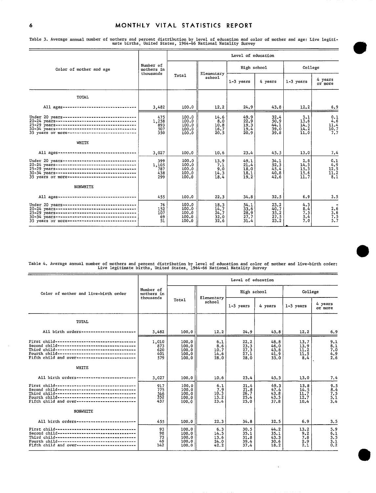### 6 MONTHLY VITAL STATISTICS REPORT

Table 3. Average annual number of mothers and percent distributionby level of education and color of mother and age: Live legiti mate births, United States, 1964-66 National Natality Survey

|                                                                                                                                                                                                                                                       |                                      |                                           |                                      | Level of education                   |                                      |                                            |                                          |
|-------------------------------------------------------------------------------------------------------------------------------------------------------------------------------------------------------------------------------------------------------|--------------------------------------|-------------------------------------------|--------------------------------------|--------------------------------------|--------------------------------------|--------------------------------------------|------------------------------------------|
| Color of mother and age                                                                                                                                                                                                                               | Number of<br>mothers in<br>thousands |                                           | Elementary                           | High school                          |                                      | College                                    |                                          |
|                                                                                                                                                                                                                                                       |                                      | Total                                     | school                               | 1-3 years                            | 4 years                              | 1-3 years                                  | 4 years<br>or more                       |
| TOTAL                                                                                                                                                                                                                                                 |                                      |                                           |                                      |                                      |                                      |                                            |                                          |
| All ages---------------------------------                                                                                                                                                                                                             | 3,482                                | 100.0                                     | 12.2                                 | 24.9                                 | 43.8                                 | 12.2                                       | 6.9                                      |
| Under 20 years--------------------------------<br>20-24 years----------------------------------<br>25-29 years-----------------------------------<br>30-34 years-----------------------------------<br>35 years or more------------------------------ | 475<br>1,258<br>893<br>507<br>350    | 100.0<br>100.0<br>100.0<br>100.0<br>100.0 | 14.6<br>8.0<br>10.8<br>16.7<br>20.5  | 49.9<br>22.9<br>19.3<br>19.4<br>20.9 | 32.4<br>50.9<br>44.1<br>39.0<br>39.8 | 3.1<br>13.6<br>$\frac{14.3}{14.2}$<br>11.0 | 0.1<br>4.6<br>11.4<br>10.7<br>7.7        |
| WHITE                                                                                                                                                                                                                                                 |                                      |                                           |                                      |                                      |                                      |                                            |                                          |
|                                                                                                                                                                                                                                                       | 3,027                                | 100.0                                     | 10.6                                 | 23.4                                 | 45.5                                 | 13.0                                       | 7.4                                      |
| Under 20 years---------------------------------<br>35 years or more------------------------------<br>NONWHITE                                                                                                                                         | 399<br>1,105<br>787<br>438<br>299    | 100.0<br>100.0<br>100.0<br>100.0<br>100.0 | 13.9<br>7.1<br>9.0<br>14.3<br>18.4   | 49.1<br>21.4<br>18.0<br>18.1<br>19.2 | 34.1<br>52.3<br>45.4<br>40.8<br>42.6 | 2.8<br>14.3<br>15.3<br>15.6<br>11.7        | 0.1<br>4.9<br>12.5<br>$\frac{11.2}{8.1}$ |
| All ages ----------------------------------                                                                                                                                                                                                           | 455                                  | 100.0                                     | 22.3                                 | 34.8                                 | 32.5                                 | 6.9                                        | 3.5                                      |
| Under 20 years--------------------------------<br>20-24 years----------------------------------<br>35 years or more-------------------------------                                                                                                    | 76<br>152<br>107<br>69<br>51         | 100.0<br>100.0<br>100.0<br>100.0<br>100.0 | 18.3<br>14.7<br>24.7<br>32.0<br>32.6 | 54.1<br>33.6<br>28.9<br>27.7<br>31.4 | 23.2<br>40.7<br>35.2<br>27.5<br>23.2 | 4.3<br>8.4<br>7.5<br>5.4<br>7.0            | 2.6<br>$\frac{3.6}{7.5}$<br>5.7          |

Table 4, Average annual number of mothers and percent distribution by level of education and color of mother and live-birth order:<br>Live legitimate births, United States, 1964-66 National Natality Survey

|                                                                                                                                                                                                                                                          |                                      |                                           |                                     | Level of education                   |                                      |                                            |                                        |
|----------------------------------------------------------------------------------------------------------------------------------------------------------------------------------------------------------------------------------------------------------|--------------------------------------|-------------------------------------------|-------------------------------------|--------------------------------------|--------------------------------------|--------------------------------------------|----------------------------------------|
| Color of mother and live-birth order                                                                                                                                                                                                                     | Number of<br>mothers in<br>thousands |                                           | Elementary                          | High school                          |                                      | College                                    |                                        |
|                                                                                                                                                                                                                                                          |                                      | Total                                     | school                              | 1-3 years                            | 4 years                              | $1-3$ years                                | 4 years<br>or more                     |
| TOTAL                                                                                                                                                                                                                                                    |                                      |                                           |                                     |                                      |                                      |                                            |                                        |
| All birth orders-<br>-----------------                                                                                                                                                                                                                   | 3,482                                | 100.0                                     | 12.2                                | 24.9                                 | 43.8                                 | 12.2                                       | 6.9                                    |
| First child -----------------------------------<br>Second child -----------------------------------<br>Third child-----------------------------------<br>Fourth child ---------------------------------<br>Fifth child and over------------------------- | 1,010<br>873<br>620<br>401<br>579    | 100.0<br>100.0<br>100.0<br>100.0<br>100.0 | 6.1<br>8.6<br>10.7<br>14.6<br>28.0  | 22.2<br>23.3<br>27.3<br>27.1<br>28.0 | 48.8<br>46.0<br>43.8<br>41.9<br>33.0 | 13.7<br>$\frac{13.9}{11.2}$<br>11.5<br>8.4 | 9.1<br>$\frac{8.1}{7.0}$<br>4.9<br>2.6 |
| WHITE                                                                                                                                                                                                                                                    |                                      |                                           |                                     |                                      |                                      |                                            |                                        |
| All birth orders------------------------                                                                                                                                                                                                                 | 3,027                                | 100.0                                     | 10.6                                | 23.4                                 | 45.5                                 | 13.0                                       | 7.4                                    |
| Second child---------------------------------<br>Third child ----------------------------------<br>Fourth child---------------------------------<br>Fifth child and over-------------------------                                                        | 917<br>775<br>546<br>352<br>437      | 100.0<br>100.0<br>100.0<br>100.0<br>100.0 | 6.1<br>7.9<br>10.3<br>13.2<br>23.4  | 21.4<br>21.8<br>26.7<br>25.4<br>25.0 | 49.3<br>47.4<br>43.8<br>43.5<br>37.8 | 13.8<br>14.5<br>11.7<br>12.7<br>10.4       | 9.5<br>8,4<br>7.5<br>$\frac{5.1}{3.4}$ |
| NONWHITE                                                                                                                                                                                                                                                 |                                      |                                           |                                     |                                      |                                      |                                            |                                        |
| All birth orders-----------------------                                                                                                                                                                                                                  | 455                                  | 100.0                                     | 22.3                                | 34.8                                 | 32.5                                 | 6.9                                        | 3.5                                    |
| Second child----------------------------------<br>Third child-----------------------------------<br>Fourth child-----------------------------------<br>Fifth child and over-------------------------                                                     | 93<br>98<br>73<br>49<br>142          | 100.0<br>100.0<br>100.0<br>100.0<br>100.0 | 6.3<br>14.5<br>13.6<br>24.0<br>42.2 | 30.5<br>35.1<br>31.8<br>39.4<br>37.4 | 44.2<br>35.1<br>43.3<br>30.6<br>18.2 | 13.2<br>9.2<br>7.8<br>2.9<br>2.1           | 5.9<br>6,1<br>3.5<br>$\frac{3.1}{0.2}$ |

 $\mathcal{L}$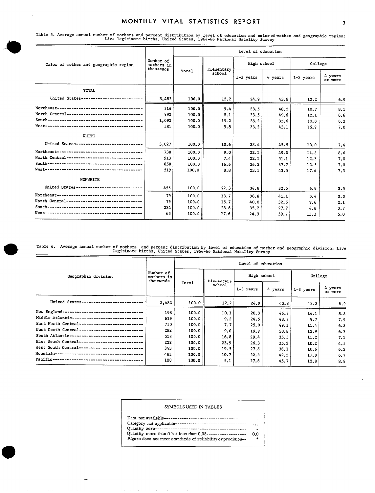## MONTHLY VITAL STATISTICS REPORT 7

Table 5. Average annual number of mothers and percent clistribution by level of education and colorof mother and geographic region: Live legitimate births, United States, 1964-66 National Natality Survey

|                                                  |                                      |       |            | Level of education |         |           |                    |  |  |  |
|--------------------------------------------------|--------------------------------------|-------|------------|--------------------|---------|-----------|--------------------|--|--|--|
| Color of mother and geographic region            | Number of<br>mothers in<br>thousands | Total | Elementary | High school        |         | College   |                    |  |  |  |
|                                                  |                                      |       | school     | $1-3$ years        | 4 years | 1-3 years | 4 years<br>or more |  |  |  |
| <b>TOTAL</b>                                     |                                      |       |            |                    |         |           |                    |  |  |  |
| United States--------------------------          | 3,482                                | 100.0 | 12.2       | 24.9               | 43.8    | 12.2      | 6.9                |  |  |  |
|                                                  | 816                                  | 100.0 | 9.4        | 23.5               | 48.2    | 10.7      | 8.1                |  |  |  |
| North Central---------------------------------   | 992                                  | 100.0 | 8,1        | 23.5               | 49.6    | 12.1      | 6.6                |  |  |  |
|                                                  | 1,092                                | 100.0 | 19.2       | 28.2               | 35.6    | 10.8      | 6.3                |  |  |  |
|                                                  | 581                                  | 100.0 | 9.8        | 23.2               | 43.1    | 16.9      | 7.0                |  |  |  |
| <b>WHITE</b>                                     |                                      |       |            |                    |         |           |                    |  |  |  |
| United States------------------------------      | 3,027                                | 100.0 | 10.6       | 23.4               | 45.5    | 13.0      | 7.4                |  |  |  |
|                                                  | 738                                  | 100.0 | 9.0        | 22.1               | 49.0    | 11.3      | 8.6                |  |  |  |
| North Central----------------------------------- | 913                                  | 100.0 | 7.4        | 22.1               | 51.1    | 12.3      | 7.0                |  |  |  |
|                                                  | 858                                  | 100.0 | 16.6       | 26.2               | 37.7    | 12.5      | 7.0                |  |  |  |
|                                                  | 519                                  | 100.0 | 8.8        | 23.1               | 43.5    | 17.4      | 7.3                |  |  |  |
| <b>NONWHITE</b>                                  |                                      |       |            |                    |         |           |                    |  |  |  |
| United States------------------------------      | 455                                  | 100.0 | 22.3       | 34.8               | 32.5    | 6.9       | 3.5                |  |  |  |
|                                                  | 79                                   | 100.0 | 13.7       | 36.8               | 41.1    | 5.4       | 3.0                |  |  |  |
| North Central----------------------------------  | 79                                   | 100.0 | 15.7       | 40.0               | 32.6    | 9.6       | 2.1                |  |  |  |
|                                                  | 234                                  | 100.0 | 28.6       | 35.2               | 27.7    | 4.8       | 3.7                |  |  |  |
|                                                  | 63                                   | 100.0 | 17.6       | 24.3               | 39.7    | 13.3      | 5.0                |  |  |  |

Table 6. Average annual number of mothers and percent distribution by level of education of mother and geographic division: Live legitimate births, United States, 1964-66 National Natality Survey legitimate births, United States, 1964-66 National Natality Survey and Subsequed an actor. Inve-

|                                                    |                                      |       |            | Level of education |         |           |                    |
|----------------------------------------------------|--------------------------------------|-------|------------|--------------------|---------|-----------|--------------------|
| Geographic division                                | Number of<br>mothers in<br>thousands |       | Elementary | High school        |         | College   |                    |
|                                                    |                                      | Total | school     | 1-3 years          | 4 years | 1-3 years | 4 years<br>or more |
| United States-                                     | 3,482                                | 100.0 | 12.2       | 24.9               | 43.8    | 12.2      | 6.9                |
| New England--                                      | 198                                  | 100.0 | 10.1       | 20.3               | 46.7    | 14.1      | 8.8                |
| Middle Atlantic--<br>-------------------------     | 619                                  | 100.0 | 9.2        | 24.5               | 48.7    | 9.7       | 7.9                |
| East North Central ---<br>------------------------ | 710                                  | 100.0 | 7.7        | 25.0               | 49.1    | 11.4      | 6,8                |
| West North Central---<br>-----------------------   | 282                                  | 100.0 | 9.0        | 19.9               | 50.8    | 13.9      | 6.3                |
| South Atlantic-----------------------------        | 518                                  | 100.0 | 16.8       | 29.4               | 35.5    | 11.2      | 7.1                |
| East South Central ---                             | 232                                  | 100.0 | 23.9       | 26.3               | 35.2    | 10.2      | 4.5                |
| West South Central----<br>-----------------------  | 343                                  | 100.0 | 19.5       | 27.6               | 36.1    | 10.6      | 6.3                |
| Mountain--<br>-----------------------------------  | 481                                  | 100.0 | 10.7       | 22.3               | 42.5    | 17.8      | 6.7                |
| Pacific---------------------------------           | 100                                  | 100.0 | 5.1        | 27.6               | 45.7    | 12.8      | 8.8                |

| SYMBOLS USED IN TABLES |
|------------------------|
|                        |

| $\sim$ $\sim$ |
|---------------|
|               |
| 0.0           |
| ۰             |
|               |

! I